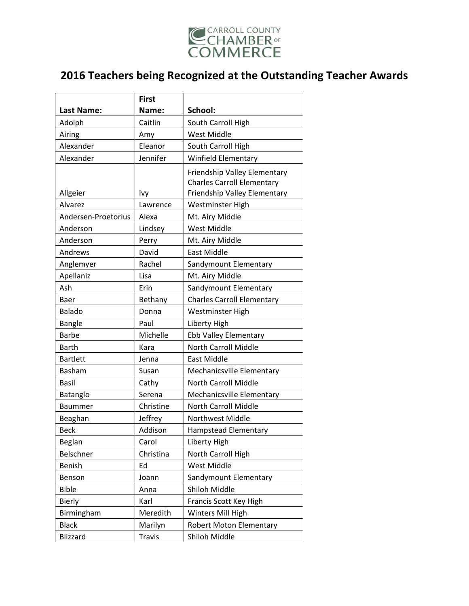

|                     | <b>First</b>  |                                                                                                   |
|---------------------|---------------|---------------------------------------------------------------------------------------------------|
| <b>Last Name:</b>   | Name:         | School:                                                                                           |
| Adolph              | Caitlin       | South Carroll High                                                                                |
| Airing              | Amy           | <b>West Middle</b>                                                                                |
| Alexander           | Eleanor       | South Carroll High                                                                                |
| Alexander           | Jennifer      | <b>Winfield Elementary</b>                                                                        |
| Allgeier            | Ivy           | Friendship Valley Elementary<br><b>Charles Carroll Elementary</b><br>Friendship Valley Elementary |
| Alvarez             | Lawrence      | Westminster High                                                                                  |
| Andersen-Proetorius | Alexa         | Mt. Airy Middle                                                                                   |
| Anderson            | Lindsey       | West Middle                                                                                       |
| Anderson            | Perry         | Mt. Airy Middle                                                                                   |
| Andrews             | David         | East Middle                                                                                       |
| Anglemyer           | Rachel        | Sandymount Elementary                                                                             |
| Apellaniz           | Lisa          | Mt. Airy Middle                                                                                   |
| Ash                 | Erin          | Sandymount Elementary                                                                             |
| Baer                | Bethany       | <b>Charles Carroll Elementary</b>                                                                 |
| Balado              | Donna         | Westminster High                                                                                  |
| Bangle              | Paul          | Liberty High                                                                                      |
| <b>Barbe</b>        | Michelle      | Ebb Valley Elementary                                                                             |
| <b>Barth</b>        | Kara          | <b>North Carroll Middle</b>                                                                       |
| <b>Bartlett</b>     | Jenna         | East Middle                                                                                       |
| Basham              | Susan         | Mechanicsville Elementary                                                                         |
| Basil               | Cathy         | North Carroll Middle                                                                              |
| Batanglo            | Serena        | Mechanicsville Elementary                                                                         |
| <b>Baummer</b>      | Christine     | <b>North Carroll Middle</b>                                                                       |
| Beaghan             | Jeffrey       | Northwest Middle                                                                                  |
| <b>Beck</b>         | Addison       | <b>Hampstead Elementary</b>                                                                       |
| Beglan              | Carol         | Liberty High                                                                                      |
| Belschner           | Christina     | North Carroll High                                                                                |
| Benish              | Ed            | <b>West Middle</b>                                                                                |
| Benson              | Joann         | Sandymount Elementary                                                                             |
| <b>Bible</b>        | Anna          | Shiloh Middle                                                                                     |
| Bierly              | Karl          | Francis Scott Key High                                                                            |
| Birmingham          | Meredith      | Winters Mill High                                                                                 |
| <b>Black</b>        | Marilyn       | Robert Moton Elementary                                                                           |
| Blizzard            | <b>Travis</b> | Shiloh Middle                                                                                     |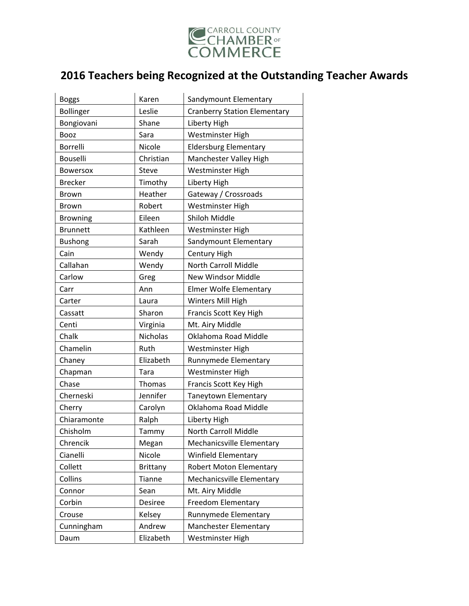

| <b>Boggs</b>    | Karen           | Sandymount Elementary               |
|-----------------|-----------------|-------------------------------------|
| Bollinger       | Leslie          | <b>Cranberry Station Elementary</b> |
| Bongiovani      | Shane           | Liberty High                        |
| <b>Booz</b>     | Sara            | Westminster High                    |
| Borrelli        | Nicole          | <b>Eldersburg Elementary</b>        |
| Bouselli        | Christian       | Manchester Valley High              |
| <b>Bowersox</b> | Steve           | Westminster High                    |
| <b>Brecker</b>  | Timothy         | Liberty High                        |
| <b>Brown</b>    | Heather         | Gateway / Crossroads                |
| <b>Brown</b>    | Robert          | Westminster High                    |
| <b>Browning</b> | Eileen          | Shiloh Middle                       |
| <b>Brunnett</b> | Kathleen        | Westminster High                    |
| <b>Bushong</b>  | Sarah           | Sandymount Elementary               |
| Cain            | Wendy           | Century High                        |
| Callahan        | Wendy           | North Carroll Middle                |
| Carlow          | Greg            | <b>New Windsor Middle</b>           |
| Carr            | Ann             | <b>Elmer Wolfe Elementary</b>       |
| Carter          | Laura           | Winters Mill High                   |
| Cassatt         | Sharon          | Francis Scott Key High              |
| Centi           | Virginia        | Mt. Airy Middle                     |
| Chalk           | <b>Nicholas</b> | Oklahoma Road Middle                |
| Chamelin        | Ruth            | Westminster High                    |
| Chaney          | Elizabeth       | Runnymede Elementary                |
| Chapman         | Tara            | Westminster High                    |
| Chase           | Thomas          | Francis Scott Key High              |
| Cherneski       | Jennifer        | Taneytown Elementary                |
| Cherry          | Carolyn         | Oklahoma Road Middle                |
| Chiaramonte     | Ralph           | Liberty High                        |
| Chisholm        | Tammy           | North Carroll Middle                |
| Chrencik        | Megan           | Mechanicsville Elementary           |
| Cianelli        | Nicole          | <b>Winfield Elementary</b>          |
| Collett         | Brittany        | <b>Robert Moton Elementary</b>      |
| Collins         | <b>Tianne</b>   | Mechanicsville Elementary           |
| Connor          | Sean            | Mt. Airy Middle                     |
| Corbin          | Desiree         | Freedom Elementary                  |
| Crouse          | Kelsey          | Runnymede Elementary                |
| Cunningham      | Andrew          | Manchester Elementary               |
| Daum            | Elizabeth       | Westminster High                    |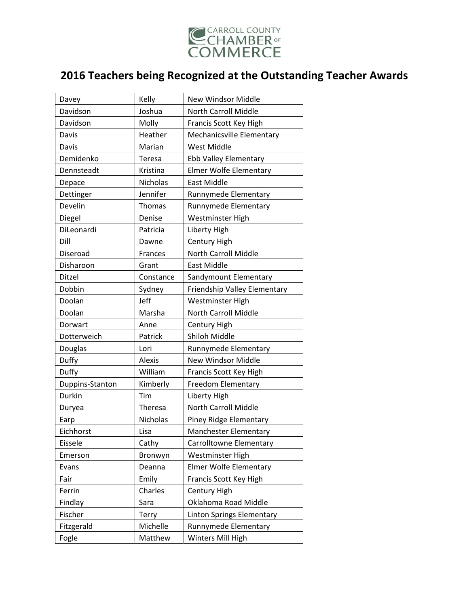

| Davey           | Kelly           | New Windsor Middle            |
|-----------------|-----------------|-------------------------------|
| Davidson        | Joshua          | <b>North Carroll Middle</b>   |
| Davidson        | Molly           | Francis Scott Key High        |
| Davis           | Heather         | Mechanicsville Elementary     |
| Davis           | Marian          | West Middle                   |
| Demidenko       | Teresa          | Ebb Valley Elementary         |
| Dennsteadt      | Kristina        | <b>Elmer Wolfe Elementary</b> |
| Depace          | <b>Nicholas</b> | East Middle                   |
| Dettinger       | Jennifer        | Runnymede Elementary          |
| Develin         | <b>Thomas</b>   | Runnymede Elementary          |
| Diegel          | Denise          | Westminster High              |
| DiLeonardi      | Patricia        | Liberty High                  |
| Dill            | Dawne           | Century High                  |
| Diseroad        | <b>Frances</b>  | North Carroll Middle          |
| Disharoon       | Grant           | <b>East Middle</b>            |
| Ditzel          | Constance       | Sandymount Elementary         |
| Dobbin          | Sydney          | Friendship Valley Elementary  |
| Doolan          | Jeff            | Westminster High              |
| Doolan          | Marsha          | North Carroll Middle          |
| Dorwart         | Anne            | Century High                  |
| Dotterweich     | Patrick         | Shiloh Middle                 |
| Douglas         | Lori            | Runnymede Elementary          |
| Duffy           | <b>Alexis</b>   | <b>New Windsor Middle</b>     |
| Duffy           | William         | Francis Scott Key High        |
| Duppins-Stanton | Kimberly        | <b>Freedom Elementary</b>     |
| Durkin          | Tim             | Liberty High                  |
| Duryea          | Theresa         | North Carroll Middle          |
| Earp            | <b>Nicholas</b> | Piney Ridge Elementary        |
| Eichhorst       |                 |                               |
|                 | Lisa            | Manchester Elementary         |
| Eissele         | Cathy           | Carrolltowne Elementary       |
| Emerson         | Bronwyn         | Westminster High              |
| Evans           | Deanna          | <b>Elmer Wolfe Elementary</b> |
| Fair            | Emily           | Francis Scott Key High        |
| Ferrin          | Charles         | Century High                  |
| Findlay         | Sara            | Oklahoma Road Middle          |
| Fischer         | Terry           | Linton Springs Elementary     |
| Fitzgerald      | Michelle        | Runnymede Elementary          |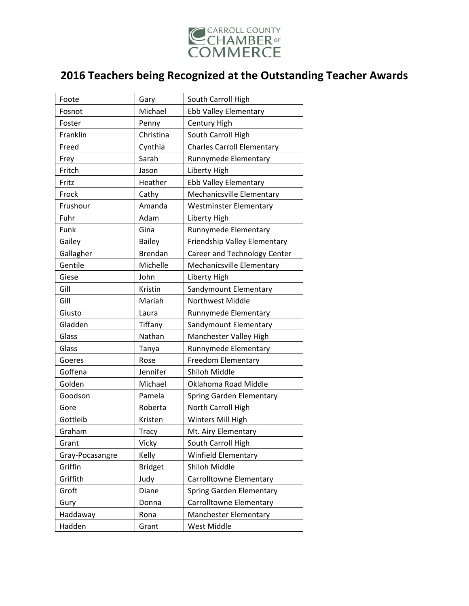

| Foote           | Gary           | South Carroll High                |
|-----------------|----------------|-----------------------------------|
| Fosnot          | Michael        | Ebb Valley Elementary             |
| Foster          | Penny          | Century High                      |
| Franklin        | Christina      | South Carroll High                |
| Freed           | Cynthia        | <b>Charles Carroll Elementary</b> |
| Frey            | Sarah          | Runnymede Elementary              |
| Fritch          | Jason          | Liberty High                      |
| Fritz           | Heather        | <b>Ebb Valley Elementary</b>      |
| Frock           | Cathy          | Mechanicsville Elementary         |
| Frushour        | Amanda         | <b>Westminster Elementary</b>     |
| Fuhr            | Adam           | Liberty High                      |
| Funk            | Gina           | Runnymede Elementary              |
| Gailey          | <b>Bailey</b>  | Friendship Valley Elementary      |
| Gallagher       | <b>Brendan</b> | Career and Technology Center      |
| Gentile         | Michelle       | Mechanicsville Elementary         |
| Giese           | John           | Liberty High                      |
| Gill            | Kristin        | Sandymount Elementary             |
| Gill            | Mariah         | <b>Northwest Middle</b>           |
| Giusto          | Laura          | Runnymede Elementary              |
| Gladden         | Tiffany        | Sandymount Elementary             |
| Glass           | Nathan         | Manchester Valley High            |
| Glass           | Tanya          | Runnymede Elementary              |
| Goeres          | Rose           | Freedom Elementary                |
| Goffena         | Jennifer       | Shiloh Middle                     |
| Golden          | Michael        | Oklahoma Road Middle              |
| Goodson         | Pamela         | Spring Garden Elementary          |
| Gore            | Roberta        | North Carroll High                |
| Gottleib        | Kristen        | Winters Mill High                 |
| Graham          | <b>Tracy</b>   | Mt. Airy Elementary               |
| Grant           | Vicky          | South Carroll High                |
| Gray-Pocasangre | Kelly          | <b>Winfield Elementary</b>        |
| Griffin         | <b>Bridget</b> | Shiloh Middle                     |
| Griffith        | Judy           | <b>Carrolltowne Elementary</b>    |
| Groft           | Diane          | Spring Garden Elementary          |
| Gury            | Donna          | Carrolltowne Elementary           |
| Haddaway        | Rona           | Manchester Elementary             |
| Hadden          | Grant          | West Middle                       |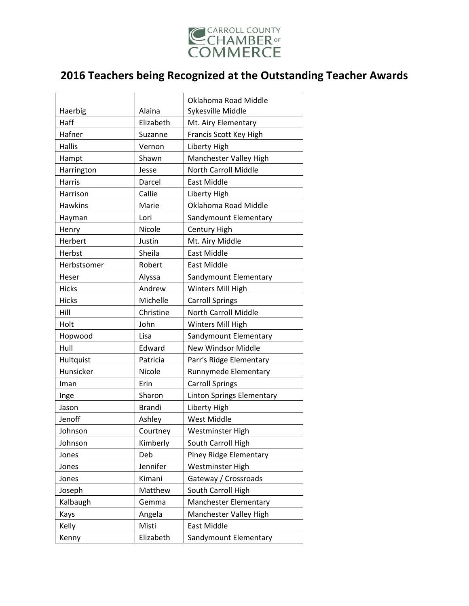

|                |               | Oklahoma Road Middle             |
|----------------|---------------|----------------------------------|
| Haerbig        | Alaina        | Sykesville Middle                |
| Haff           | Elizabeth     | Mt. Airy Elementary              |
| Hafner         | Suzanne       | Francis Scott Key High           |
| <b>Hallis</b>  | Vernon        | Liberty High                     |
| Hampt          | Shawn         | Manchester Valley High           |
| Harrington     | Jesse         | North Carroll Middle             |
| Harris         | Darcel        | East Middle                      |
| Harrison       | Callie        | Liberty High                     |
| <b>Hawkins</b> | Marie         | Oklahoma Road Middle             |
| Hayman         | Lori          | Sandymount Elementary            |
| Henry          | Nicole        | Century High                     |
| Herbert        | Justin        | Mt. Airy Middle                  |
| Herbst         | Sheila        | <b>East Middle</b>               |
| Herbstsomer    | Robert        | East Middle                      |
| Heser          | Alyssa        | Sandymount Elementary            |
| <b>Hicks</b>   | Andrew        | Winters Mill High                |
| <b>Hicks</b>   | Michelle      | <b>Carroll Springs</b>           |
| Hill           | Christine     | <b>North Carroll Middle</b>      |
|                |               |                                  |
| Holt           | John          | Winters Mill High                |
| Hopwood        | Lisa          | Sandymount Elementary            |
| Hull           | Edward        | New Windsor Middle               |
| Hultquist      | Patricia      | Parr's Ridge Elementary          |
| Hunsicker      | Nicole        | Runnymede Elementary             |
| Iman           | Erin          | <b>Carroll Springs</b>           |
| Inge           | Sharon        | <b>Linton Springs Elementary</b> |
| Jason          | <b>Brandi</b> | Liberty High                     |
| Jenoff         | Ashley        | West Middle                      |
| Johnson        | Courtney      | Westminster High                 |
| Johnson        | Kimberly      | South Carroll High               |
| Jones          | Deb           | Piney Ridge Elementary           |
| Jones          | Jennifer      | Westminster High                 |
| Jones          | Kimani        | Gateway / Crossroads             |
| Joseph         | Matthew       | South Carroll High               |
| Kalbaugh       | Gemma         | Manchester Elementary            |
| Kays           | Angela        | Manchester Valley High           |
| Kelly          | Misti         | East Middle                      |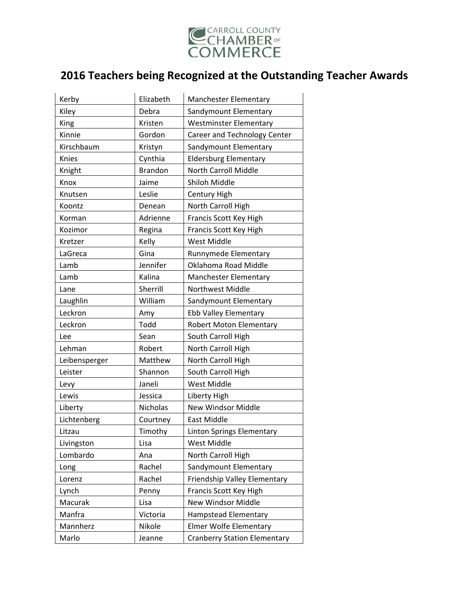

| Kerby         | Elizabeth      | <b>Manchester Elementary</b>        |
|---------------|----------------|-------------------------------------|
| Kiley         | Debra          | Sandymount Elementary               |
| King          | Kristen        | <b>Westminster Elementary</b>       |
| Kinnie        | Gordon         | Career and Technology Center        |
| Kirschbaum    | Kristyn        | Sandymount Elementary               |
| Knies         | Cynthia        | <b>Eldersburg Elementary</b>        |
| Knight        | <b>Brandon</b> | North Carroll Middle                |
| Knox          | Jaime          | Shiloh Middle                       |
| Knutsen       | Leslie         | Century High                        |
| Koontz        | Denean         | North Carroll High                  |
| Korman        | Adrienne       | Francis Scott Key High              |
| Kozimor       | Regina         | Francis Scott Key High              |
| Kretzer       | Kelly          | <b>West Middle</b>                  |
| LaGreca       | Gina           | Runnymede Elementary                |
| Lamb          | Jennifer       | Oklahoma Road Middle                |
| Lamb          | Kalina         | <b>Manchester Elementary</b>        |
| Lane          | Sherrill       | Northwest Middle                    |
| Laughlin      | William        | Sandymount Elementary               |
| Leckron       | Amy            | Ebb Valley Elementary               |
| Leckron       | Todd           | Robert Moton Elementary             |
| Lee           | Sean           | South Carroll High                  |
| Lehman        | Robert         | North Carroll High                  |
| Leibensperger | Matthew        | North Carroll High                  |
| Leister       | Shannon        | South Carroll High                  |
| Levy          | Janeli         | <b>West Middle</b>                  |
| Lewis         | Jessica        | Liberty High                        |
| Liberty       | Nicholas       | New Windsor Middle                  |
| Lichtenberg   | Courtney       | <b>East Middle</b>                  |
| Litzau        | Timothy        | <b>Linton Springs Elementary</b>    |
| Livingston    | Lisa           | <b>West Middle</b>                  |
| Lombardo      | Ana            | North Carroll High                  |
| Long          | Rachel         | Sandymount Elementary               |
| Lorenz        | Rachel         | Friendship Valley Elementary        |
| Lynch         | Penny          | Francis Scott Key High              |
| Macurak       | Lisa           | New Windsor Middle                  |
| Manfra        | Victoria       | Hampstead Elementary                |
| Mannherz      | Nikole         | <b>Elmer Wolfe Elementary</b>       |
| Marlo         | Jeanne         | <b>Cranberry Station Elementary</b> |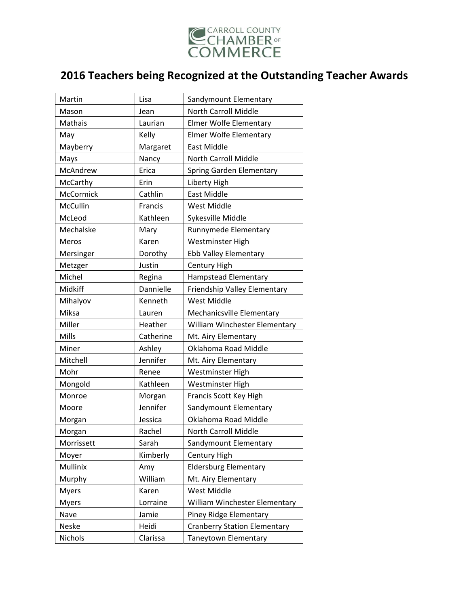

| Martin           | Lisa      | Sandymount Elementary               |
|------------------|-----------|-------------------------------------|
| Mason            | Jean      | <b>North Carroll Middle</b>         |
| Mathais          | Laurian   | Elmer Wolfe Elementary              |
| May              | Kelly     | <b>Elmer Wolfe Elementary</b>       |
| Mayberry         | Margaret  | East Middle                         |
| Mays             | Nancy     | North Carroll Middle                |
| McAndrew         | Erica     | Spring Garden Elementary            |
| McCarthy         | Erin      | Liberty High                        |
| <b>McCormick</b> | Cathlin   | <b>East Middle</b>                  |
| McCullin         | Francis   | <b>West Middle</b>                  |
| McLeod           | Kathleen  | Sykesville Middle                   |
| Mechalske        | Mary      | Runnymede Elementary                |
| Meros            | Karen     | Westminster High                    |
| Mersinger        | Dorothy   | <b>Ebb Valley Elementary</b>        |
| Metzger          | Justin    | Century High                        |
| Michel           | Regina    | <b>Hampstead Elementary</b>         |
| Midkiff          | Dannielle | Friendship Valley Elementary        |
| Mihalyov         | Kenneth   | <b>West Middle</b>                  |
| Miksa            | Lauren    | Mechanicsville Elementary           |
| Miller           | Heather   | William Winchester Elementary       |
| Mills            | Catherine | Mt. Airy Elementary                 |
| Miner            | Ashley    | Oklahoma Road Middle                |
| Mitchell         | Jennifer  | Mt. Airy Elementary                 |
| Mohr             | Renee     | Westminster High                    |
| Mongold          | Kathleen  | Westminster High                    |
| Monroe           | Morgan    | Francis Scott Key High              |
| Moore            | Jennifer  | Sandymount Elementary               |
| Morgan           | Jessica   | Oklahoma Road Middle                |
| Morgan           | Rachel    | North Carroll Middle                |
| Morrissett       | Sarah     | Sandymount Elementary               |
| Moyer            | Kimberly  | Century High                        |
| Mullinix         | Amy       | <b>Eldersburg Elementary</b>        |
| Murphy           | William   | Mt. Airy Elementary                 |
| <b>Myers</b>     | Karen     | <b>West Middle</b>                  |
| <b>Myers</b>     | Lorraine  | William Winchester Elementary       |
| Nave             | Jamie     | Piney Ridge Elementary              |
| Neske            | Heidi     | <b>Cranberry Station Elementary</b> |
| Nichols          | Clarissa  | Taneytown Elementary                |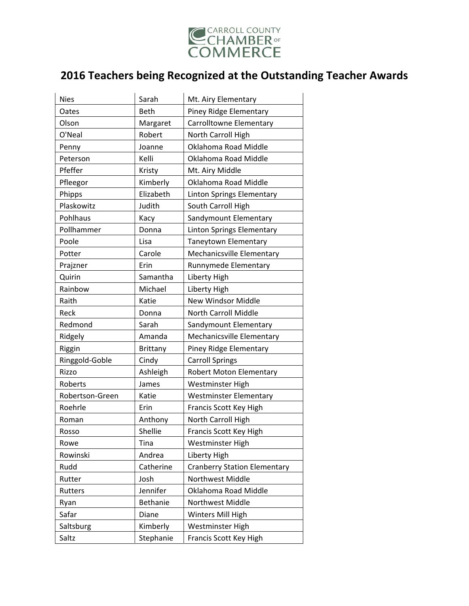

| <b>Nies</b>     | Sarah           | Mt. Airy Elementary                 |
|-----------------|-----------------|-------------------------------------|
| Oates           | <b>Beth</b>     | Piney Ridge Elementary              |
| Olson           | Margaret        | Carrolltowne Elementary             |
| O'Neal          | Robert          | North Carroll High                  |
| Penny           | Joanne          | Oklahoma Road Middle                |
| Peterson        | Kelli           | Oklahoma Road Middle                |
| Pfeffer         | Kristy          | Mt. Airy Middle                     |
| Pfleegor        | Kimberly        | Oklahoma Road Middle                |
| Phipps          | Elizabeth       | Linton Springs Elementary           |
| Plaskowitz      | Judith          | South Carroll High                  |
| Pohlhaus        | Kacy            | Sandymount Elementary               |
| Pollhammer      | Donna           | <b>Linton Springs Elementary</b>    |
| Poole           | Lisa            | Taneytown Elementary                |
| Potter          | Carole          | Mechanicsville Elementary           |
| Prajzner        | Erin            | Runnymede Elementary                |
| Quirin          | Samantha        | Liberty High                        |
| Rainbow         | Michael         | Liberty High                        |
| Raith           | Katie           | New Windsor Middle                  |
| Reck            | Donna           | North Carroll Middle                |
| Redmond         | Sarah           | Sandymount Elementary               |
| Ridgely         | Amanda          | Mechanicsville Elementary           |
| Riggin          | <b>Brittany</b> | Piney Ridge Elementary              |
| Ringgold-Goble  | Cindy           | <b>Carroll Springs</b>              |
| Rizzo           | Ashleigh        | <b>Robert Moton Elementary</b>      |
| Roberts         | James           | Westminster High                    |
| Robertson-Green | Katie           | <b>Westminster Elementary</b>       |
| Roehrle         | Erin            | Francis Scott Key High              |
| Roman           | Anthony         | North Carroll High                  |
| Rosso           | Shellie         | Francis Scott Key High              |
| Rowe            | Tina            | Westminster High                    |
| Rowinski        | Andrea          | Liberty High                        |
| Rudd            | Catherine       | <b>Cranberry Station Elementary</b> |
| Rutter          | Josh            | Northwest Middle                    |
| Rutters         | Jennifer        | Oklahoma Road Middle                |
| Ryan            | Bethanie        | Northwest Middle                    |
| Safar           | Diane           | Winters Mill High                   |
| Saltsburg       | Kimberly        | Westminster High                    |
| Saltz           | Stephanie       | Francis Scott Key High              |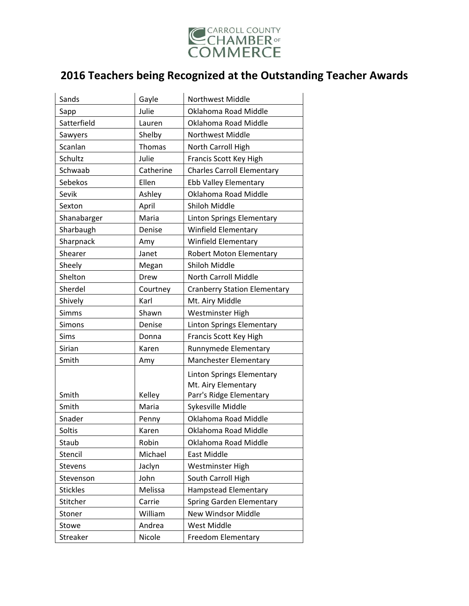

| Sands           | Gayle     | Northwest Middle                                                                   |
|-----------------|-----------|------------------------------------------------------------------------------------|
| Sapp            | Julie     | Oklahoma Road Middle                                                               |
| Satterfield     | Lauren    | Oklahoma Road Middle                                                               |
| Sawyers         | Shelby    | Northwest Middle                                                                   |
| Scanlan         | Thomas    | North Carroll High                                                                 |
| Schultz         | Julie     | Francis Scott Key High                                                             |
| Schwaab         | Catherine | <b>Charles Carroll Elementary</b>                                                  |
| Sebekos         | Ellen     | <b>Ebb Valley Elementary</b>                                                       |
| Sevik           | Ashley    | Oklahoma Road Middle                                                               |
| Sexton          | April     | Shiloh Middle                                                                      |
| Shanabarger     | Maria     | Linton Springs Elementary                                                          |
| Sharbaugh       | Denise    | <b>Winfield Elementary</b>                                                         |
| Sharpnack       | Amy       | Winfield Elementary                                                                |
| Shearer         | Janet     | Robert Moton Elementary                                                            |
| Sheely          | Megan     | Shiloh Middle                                                                      |
| Shelton         | Drew      | North Carroll Middle                                                               |
| Sherdel         | Courtney  | <b>Cranberry Station Elementary</b>                                                |
| Shively         | Karl      | Mt. Airy Middle                                                                    |
| <b>Simms</b>    | Shawn     | Westminster High                                                                   |
| Simons          | Denise    | Linton Springs Elementary                                                          |
| Sims            | Donna     | Francis Scott Key High                                                             |
| Sirian          | Karen     | Runnymede Elementary                                                               |
| Smith           | Amy       | Manchester Elementary                                                              |
| Smith           | Kelley    | <b>Linton Springs Elementary</b><br>Mt. Airy Elementary<br>Parr's Ridge Elementary |
| Smith           | Maria     | Sykesville Middle                                                                  |
| Snader          | Penny     | Oklahoma Road Middle                                                               |
| Soltis          | Karen     | Oklahoma Road Middle                                                               |
| Staub           | Robin     | Oklahoma Road Middle                                                               |
| Stencil         | Michael   | East Middle                                                                        |
| Stevens         | Jaclyn    | Westminster High                                                                   |
| Stevenson       | John      | South Carroll High                                                                 |
| <b>Stickles</b> | Melissa   | <b>Hampstead Elementary</b>                                                        |
| Stitcher        | Carrie    | Spring Garden Elementary                                                           |
| Stoner          | William   | New Windsor Middle                                                                 |
| Stowe           | Andrea    | West Middle                                                                        |
| Streaker        | Nicole    | Freedom Elementary                                                                 |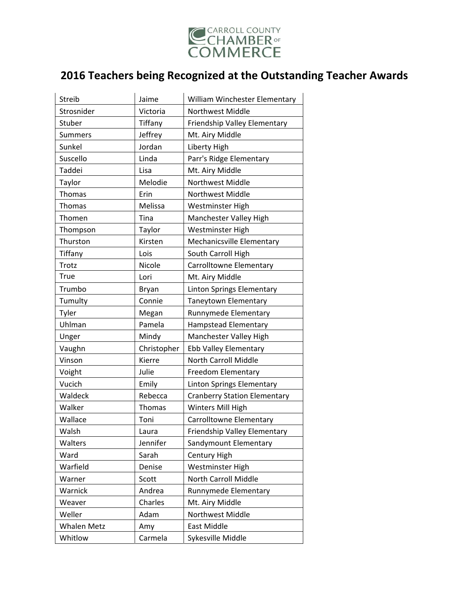

| <b>Streib</b>      | Jaime       | William Winchester Elementary       |
|--------------------|-------------|-------------------------------------|
| Strosnider         | Victoria    | <b>Northwest Middle</b>             |
| Stuber             | Tiffany     | Friendship Valley Elementary        |
| <b>Summers</b>     | Jeffrey     | Mt. Airy Middle                     |
| Sunkel             | Jordan      | Liberty High                        |
| Suscello           | Linda       | Parr's Ridge Elementary             |
| Taddei             | Lisa        | Mt. Airy Middle                     |
| Taylor             | Melodie     | Northwest Middle                    |
| Thomas             | Erin        | Northwest Middle                    |
| Thomas             | Melissa     | Westminster High                    |
| Thomen             | Tina        | Manchester Valley High              |
| Thompson           | Taylor      | Westminster High                    |
| Thurston           | Kirsten     | Mechanicsville Elementary           |
| Tiffany            | Lois        | South Carroll High                  |
| Trotz              | Nicole      | <b>Carrolltowne Elementary</b>      |
| True               | Lori        | Mt. Airy Middle                     |
| Trumbo             | Bryan       | <b>Linton Springs Elementary</b>    |
| Tumulty            | Connie      | Taneytown Elementary                |
| Tyler              | Megan       | Runnymede Elementary                |
| Uhlman             | Pamela      | <b>Hampstead Elementary</b>         |
| Unger              | Mindy       | Manchester Valley High              |
| Vaughn             | Christopher | <b>Ebb Valley Elementary</b>        |
| Vinson             | Kierre      | <b>North Carroll Middle</b>         |
| Voight             | Julie       | Freedom Elementary                  |
| Vucich             | Emily       | Linton Springs Elementary           |
| Waldeck            | Rebecca     | <b>Cranberry Station Elementary</b> |
| Walker             | Thomas      | Winters Mill High                   |
| Wallace            | Toni        | Carrolltowne Elementary             |
| Walsh              | Laura       | Friendship Valley Elementary        |
| Walters            | Jennifer    | Sandymount Elementary               |
| Ward               | Sarah       | Century High                        |
| Warfield           | Denise      | Westminster High                    |
| Warner             | Scott       | North Carroll Middle                |
| Warnick            | Andrea      | Runnymede Elementary                |
| Weaver             | Charles     | Mt. Airy Middle                     |
| Weller             | Adam        | Northwest Middle                    |
| <b>Whalen Metz</b> | Amy         | East Middle                         |
| Whitlow            | Carmela     | Sykesville Middle                   |